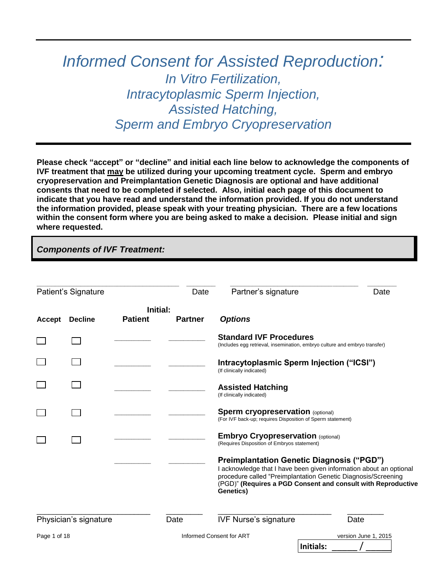# *Informed Consent for Assisted Reproduction: In Vitro Fertilization, Intracytoplasmic Sperm Injection, Assisted Hatching, Sperm and Embryo Cryopreservation*

**Please check "accept" or "decline" and initial each line below to acknowledge the components of IVF treatment that may be utilized during your upcoming treatment cycle. Sperm and embryo cryopreservation and Preimplantation Genetic Diagnosis are optional and have additional consents that need to be completed if selected. Also, initial each page of this document to indicate that you have read and understand the information provided. If you do not understand the information provided, please speak with your treating physician. There are a few locations within the consent form where you are being asked to make a decision. Please initial and sign where requested.**

## *Components of IVF Treatment:*

|               | Patient's Signature   |                            | Date           | Partner's signature                                                                                                                                                                                                                                                  |           | Date                 |
|---------------|-----------------------|----------------------------|----------------|----------------------------------------------------------------------------------------------------------------------------------------------------------------------------------------------------------------------------------------------------------------------|-----------|----------------------|
| <b>Accept</b> | <b>Decline</b>        | Initial:<br><b>Patient</b> | <b>Partner</b> | <b>Options</b>                                                                                                                                                                                                                                                       |           |                      |
|               |                       |                            |                | <b>Standard IVF Procedures</b><br>(Includes egg retrieval, insemination, embryo culture and embryo transfer)                                                                                                                                                         |           |                      |
|               |                       |                            |                | Intracytoplasmic Sperm Injection ("ICSI")<br>(If clinically indicated)                                                                                                                                                                                               |           |                      |
|               |                       |                            |                | <b>Assisted Hatching</b><br>(If clinically indicated)                                                                                                                                                                                                                |           |                      |
|               |                       |                            |                | Sperm cryopreservation (optional)<br>(For IVF back-up; requires Disposition of Sperm statement)                                                                                                                                                                      |           |                      |
|               |                       |                            |                | <b>Embryo Cryopreservation (optional)</b><br>(Requires Disposition of Embryos statement)                                                                                                                                                                             |           |                      |
|               |                       |                            |                | <b>Preimplantation Genetic Diagnosis ("PGD")</b><br>I acknowledge that I have been given information about an optional<br>procedure called "Preimplantation Genetic Diagnosis/Screening<br>(PGD)" (Requires a PGD Consent and consult with Reproductive<br>Genetics) |           |                      |
|               | Physician's signature |                            | Date           | <b>IVF Nurse's signature</b>                                                                                                                                                                                                                                         |           | Date                 |
| Page 1 of 18  |                       |                            |                | Informed Consent for ART                                                                                                                                                                                                                                             | Initials: | version June 1, 2015 |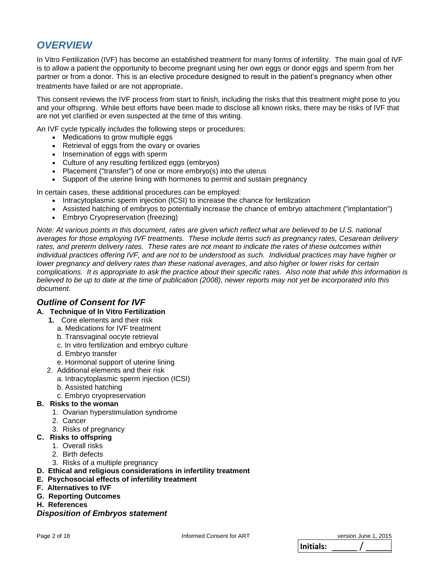## *OVERVIEW*

In Vitro Fertilization (IVF) has become an established treatment for many forms of infertility. The main goal of IVF is to allow a patient the opportunity to become pregnant using her own eggs or donor eggs and sperm from her partner or from a donor. This is an elective procedure designed to result in the patient's pregnancy when other treatments have failed or are not appropriate.

This consent reviews the IVF process from start to finish, including the risks that this treatment might pose to you and your offspring. While best efforts have been made to disclose all known risks, there may be risks of IVF that are not yet clarified or even suspected at the time of this writing.

An IVF cycle typically includes the following steps or procedures:

- Medications to grow multiple eggs
- Retrieval of eggs from the ovary or ovaries
- Insemination of eggs with sperm
- Culture of any resulting fertilized eggs (embryos)
- Placement ("transfer") of one or more embryo(s) into the uterus
- Support of the uterine lining with hormones to permit and sustain pregnancy

In certain cases, these additional procedures can be employed:

- Intracytoplasmic sperm injection (ICSI) to increase the chance for fertilization
- Assisted hatching of embryos to potentially increase the chance of embryo attachment ("implantation")
- Embryo Cryopreservation (freezing)

*Note: At various points in this document, rates are given which reflect what are believed to be U.S. national averages for those employing IVF treatments. These include items such as pregnancy rates, Cesarean delivery rates, and preterm delivery rates. These rates are not meant to indicate the rates of these outcomes within individual practices offering IVF, and are not to be understood as such. Individual practices may have higher or lower pregnancy and delivery rates than these national averages, and also higher or lower risks for certain complications. It is appropriate to ask the practice about their specific rates. Also note that while this information is believed to be up to date at the time of publication (2008), newer reports may not yet be incorporated into this document.*

## *Outline of Consent for IVF*

#### **A. Technique of In Vitro Fertilization**

- **1.** Core elements and their risk
	- a. Medications for IVF treatment
	- b. Transvaginal oocyte retrieval
	- c. In vitro fertilization and embryo culture
	- d. Embryo transfer
	- e. Hormonal support of uterine lining
- 2. Additional elements and their risk
	- a. Intracytoplasmic sperm injection (ICSI)
	- b. Assisted hatching
	- c. Embryo cryopreservation
- **B. Risks to the woman** 
	- 1. Ovarian hyperstimulation syndrome
	- 2. Cancer
	- 3. Risks of pregnancy
- **C. Risks to offspring** 
	- 1. Overall risks
	- 2. Birth defects
	- 3. Risks of a multiple pregnancy
- **D. Ethical and religious considerations in infertility treatment**
- **E. Psychosocial effects of infertility treatment**
- **F. Alternatives to IVF**
- **G. Reporting Outcomes**
- **H. References**

## *Disposition of Embryos statement*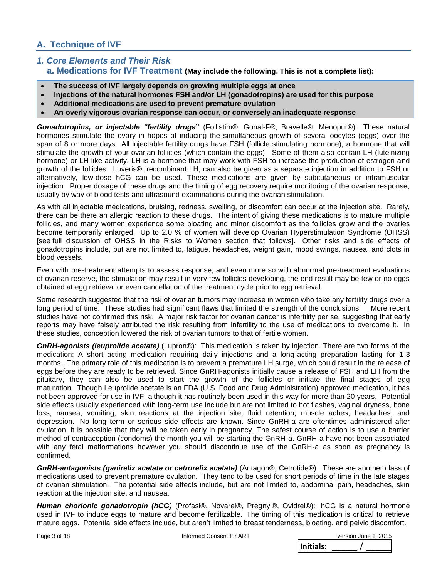## **A. Technique of IVF**

### *1. Core Elements and Their Risk*   **a. Medications for IVF Treatment (May include the following. This is not a complete list):**

- **The success of IVF largely depends on growing multiple eggs at once**
- **Injections of the natural hormones FSH and/or LH (gonadotropins) are used for this purpose**
- **Additional medications are used to prevent premature ovulation**
- **An overly vigorous ovarian response can occur, or conversely an inadequate response**

*Gonadotropins, or injectable "fertility drugs***"** (Follistim®, Gonal-F®, Bravelle®, Menopur®): These natural hormones stimulate the ovary in hopes of inducing the simultaneous growth of several oocytes (eggs) over the span of 8 or more days. All injectable fertility drugs have FSH (follicle stimulating hormone), a hormone that will stimulate the growth of your ovarian follicles (which contain the eggs). Some of them also contain LH (luteinizing hormone) or LH like activity. LH is a hormone that may work with FSH to increase the production of estrogen and growth of the follicles. Luveris®, recombinant LH, can also be given as a separate injection in addition to FSH or alternatively, low-dose hCG can be used. These medications are given by subcutaneous or intramuscular injection. Proper dosage of these drugs and the timing of egg recovery require monitoring of the ovarian response, usually by way of blood tests and ultrasound examinations during the ovarian stimulation.

As with all injectable medications, bruising, redness, swelling, or discomfort can occur at the injection site. Rarely, there can be there an allergic reaction to these drugs. The intent of giving these medications is to mature multiple follicles, and many women experience some bloating and minor discomfort as the follicles grow and the ovaries become temporarily enlarged. Up to 2.0 % of women will develop Ovarian Hyperstimulation Syndrome (OHSS) [see full discussion of OHSS in the Risks to Women section that follows]. Other risks and side effects of gonadotropins include, but are not limited to, fatigue, headaches, weight gain, mood swings, nausea, and clots in blood vessels.

Even with pre-treatment attempts to assess response, and even more so with abnormal pre-treatment evaluations of ovarian reserve, the stimulation may result in very few follicles developing, the end result may be few or no eggs obtained at egg retrieval or even cancellation of the treatment cycle prior to egg retrieval.

Some research suggested that the risk of ovarian tumors may increase in women who take any fertility drugs over a long period of time. These studies had significant flaws that limited the strength of the conclusions. More recent studies have not confirmed this risk. A major risk factor for ovarian cancer is infertility per se, suggesting that early reports may have falsely attributed the risk resulting from infertility to the use of medications to overcome it. In these studies, conception lowered the risk of ovarian tumors to that of fertile women.

*GnRH-agonists (leuprolide acetate)* (Lupron®): This medication is taken by injection. There are two forms of the medication: A short acting medication requiring daily injections and a long-acting preparation lasting for 1-3 months. The primary role of this medication is to prevent a premature LH surge, which could result in the release of eggs before they are ready to be retrieved. Since GnRH-agonists initially cause a release of FSH and LH from the pituitary, they can also be used to start the growth of the follicles or initiate the final stages of egg maturation. Though Leuprolide acetate is an FDA (U.S. Food and Drug Administration) approved medication, it has not been approved for use in IVF, although it has routinely been used in this way for more than 20 years. Potential side effects usually experienced with long-term use include but are not limited to hot flashes, vaginal dryness, bone loss, nausea, vomiting, skin reactions at the injection site, fluid retention, muscle aches, headaches, and depression. No long term or serious side effects are known. Since GnRH-a are oftentimes administered after ovulation, it is possible that they will be taken early in pregnancy. The safest course of action is to use a barrier method of contraception (condoms) the month you will be starting the GnRH-a. GnRH-a have not been associated with any fetal malformations however you should discontinue use of the GnRH-a as soon as pregnancy is confirmed.

**GnRH-antagonists (ganirelix acetate or cetrorelix acetate)** (Antagon®, Cetrotide®): These are another class of medications used to prevent premature ovulation. They tend to be used for short periods of time in the late stages of ovarian stimulation. The potential side effects include, but are not limited to, abdominal pain, headaches, skin reaction at the injection site, and nausea.

*Human chorionic gonadotropin (hCG)* (Profasi®, Novarel®, Pregnyl®, Ovidrel®): hCG is a natural hormone used in IVF to induce eggs to mature and become fertilizable. The timing of this medication is critical to retrieve mature eggs. Potential side effects include, but aren't limited to breast tenderness, bloating, and pelvic discomfort.

Page 3 of 18 Informed Consent for ART New Yorsion June 1, 2015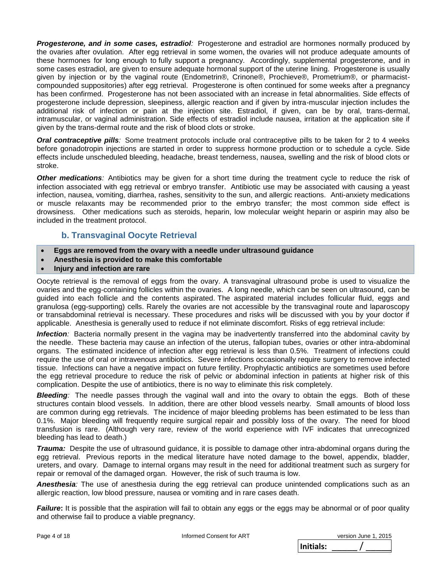*Progesterone, and in some cases, estradiol:* Progesterone and estradiol are hormones normally produced by the ovaries after ovulation. After egg retrieval in some women, the ovaries will not produce adequate amounts of these hormones for long enough to fully support a pregnancy. Accordingly, supplemental progesterone, and in some cases estradiol, are given to ensure adequate hormonal support of the uterine lining. Progesterone is usually given by injection or by the vaginal route (Endometrin®, Crinone®, Prochieve®, Prometrium®, or pharmacistcompounded suppositories) after egg retrieval. Progesterone is often continued for some weeks after a pregnancy has been confirmed. Progesterone has not been associated with an increase in fetal abnormalities. Side effects of progesterone include depression, sleepiness, allergic reaction and if given by intra-muscular injection includes the additional risk of infection or pain at the injection site. Estradiol, if given, can be by oral, trans-dermal, intramuscular, or vaginal administration. Side effects of estradiol include nausea, irritation at the application site if given by the trans-dermal route and the risk of blood clots or stroke.

*Oral contraceptive pills:* Some treatment protocols include oral contraceptive pills to be taken for 2 to 4 weeks before gonadotropin injections are started in order to suppress hormone production or to schedule a cycle. Side effects include unscheduled bleeding, headache, breast tenderness, nausea, swelling and the risk of blood clots or stroke.

*Other medications:* Antibiotics may be given for a short time during the treatment cycle to reduce the risk of infection associated with egg retrieval or embryo transfer. Antibiotic use may be associated with causing a yeast infection, nausea, vomiting, diarrhea, rashes, sensitivity to the sun, and allergic reactions. Anti-anxiety medications or muscle relaxants may be recommended prior to the embryo transfer; the most common side effect is drowsiness. Other medications such as steroids, heparin, low molecular weight heparin or aspirin may also be included in the treatment protocol.

## **b. Transvaginal Oocyte Retrieval**

- **Eggs are removed from the ovary with a needle under ultrasound guidance**
- **Anesthesia is provided to make this comfortable**
- **Injury and infection are rare**

Oocyte retrieval is the removal of eggs from the ovary. A transvaginal ultrasound probe is used to visualize the ovaries and the egg-containing follicles within the ovaries. A long needle, which can be seen on ultrasound, can be guided into each follicle and the contents aspirated. The aspirated material includes follicular fluid, eggs and granulosa (egg-supporting) cells. Rarely the ovaries are not accessible by the transvaginal route and laparoscopy or transabdominal retrieval is necessary. These procedures and risks will be discussed with you by your doctor if applicable. Anesthesia is generally used to reduce if not eliminate discomfort. Risks of egg retrieval include:

*Infection:* Bacteria normally present in the vagina may be inadvertently transferred into the abdominal cavity by the needle. These bacteria may cause an infection of the uterus, fallopian tubes, ovaries or other intra-abdominal organs. The estimated incidence of infection after egg retrieval is less than 0.5%. Treatment of infections could require the use of oral or intravenous antibiotics. Severe infections occasionally require surgery to remove infected tissue. Infections can have a negative impact on future fertility. Prophylactic antibiotics are sometimes used before the egg retrieval procedure to reduce the risk of pelvic or abdominal infection in patients at higher risk of this complication. Despite the use of antibiotics, there is no way to eliminate this risk completely.

*Bleeding:* The needle passes through the vaginal wall and into the ovary to obtain the eggs. Both of these structures contain blood vessels. In addition, there are other blood vessels nearby. Small amounts of blood loss are common during egg retrievals. The incidence of major bleeding problems has been estimated to be less than 0.1%. Major bleeding will frequently require surgical repair and possibly loss of the ovary. The need for blood transfusion is rare. (Although very rare, review of the world experience with IVF indicates that unrecognized bleeding has lead to death.)

*Trauma:* Despite the use of ultrasound guidance, it is possible to damage other intra-abdominal organs during the egg retrieval. Previous reports in the medical literature have noted damage to the bowel, appendix, bladder, ureters, and ovary. Damage to internal organs may result in the need for additional treatment such as surgery for repair or removal of the damaged organ. However, the risk of such trauma is low.

*Anesthesia:* The use of anesthesia during the egg retrieval can produce unintended complications such as an allergic reaction, low blood pressure, nausea or vomiting and in rare cases death.

*Failure*: It is possible that the aspiration will fail to obtain any eggs or the eggs may be abnormal or of poor quality and otherwise fail to produce a viable pregnancy.

|          | version June 1, 2015 |
|----------|----------------------|
| iitials: |                      |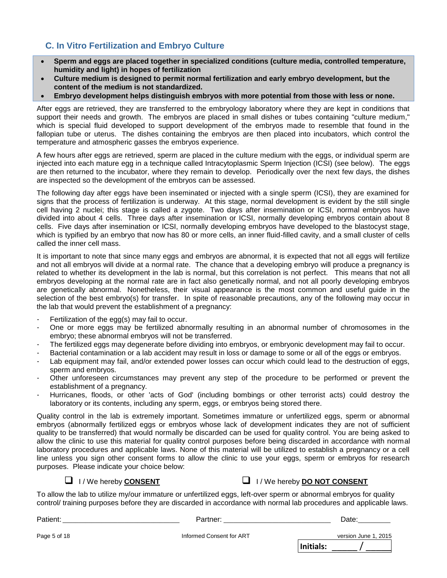## **C. In Vitro Fertilization and Embryo Culture**

- **Sperm and eggs are placed together in specialized conditions (culture media, controlled temperature, humidity and light) in hopes of fertilization**
- **Culture medium is designed to permit normal fertilization and early embryo development, but the content of the medium is not standardized.**
- **Embryo development helps distinguish embryos with more potential from those with less or none.**

After eggs are retrieved, they are transferred to the embryology laboratory where they are kept in conditions that support their needs and growth. The embryos are placed in small dishes or tubes containing "culture medium," which is special fluid developed to support development of the embryos made to resemble that found in the fallopian tube or uterus. The dishes containing the embryos are then placed into incubators, which control the temperature and atmospheric gasses the embryos experience.

A few hours after eggs are retrieved, sperm are placed in the culture medium with the eggs, or individual sperm are injected into each mature egg in a technique called Intracytoplasmic Sperm Injection (ICSI) (see below). The eggs are then returned to the incubator, where they remain to develop. Periodically over the next few days, the dishes are inspected so the development of the embryos can be assessed.

The following day after eggs have been inseminated or injected with a single sperm (ICSI), they are examined for signs that the process of fertilization is underway. At this stage, normal development is evident by the still single cell having 2 nuclei; this stage is called a zygote. Two days after insemination or ICSI, normal embryos have divided into about 4 cells. Three days after insemination or ICSI, normally developing embryos contain about 8 cells. Five days after insemination or ICSI, normally developing embryos have developed to the blastocyst stage, which is typified by an embryo that now has 80 or more cells, an inner fluid-filled cavity, and a small cluster of cells called the inner cell mass.

It is important to note that since many eggs and embryos are abnormal, it is expected that not all eggs will fertilize and not all embryos will divide at a normal rate. The chance that a developing embryo will produce a pregnancy is related to whether its development in the lab is normal, but this correlation is not perfect. This means that not all embryos developing at the normal rate are in fact also genetically normal, and not all poorly developing embryos are genetically abnormal. Nonetheless, their visual appearance is the most common and useful guide in the selection of the best embryo(s) for transfer. In spite of reasonable precautions, any of the following may occur in the lab that would prevent the establishment of a pregnancy:

- Fertilization of the egg(s) may fail to occur.
- One or more eggs may be fertilized abnormally resulting in an abnormal number of chromosomes in the embryo; these abnormal embryos will not be transferred.
- The fertilized eggs may degenerate before dividing into embryos, or embryonic development may fail to occur.
- Bacterial contamination or a lab accident may result in loss or damage to some or all of the eggs or embryos.
- Lab equipment may fail, and/or extended power losses can occur which could lead to the destruction of eggs, sperm and embryos.
- Other unforeseen circumstances may prevent any step of the procedure to be performed or prevent the establishment of a pregnancy.
- Hurricanes, floods, or other 'acts of God' (including bombings or other terrorist acts) could destroy the laboratory or its contents, including any sperm, eggs, or embryos being stored there.

Quality control in the lab is extremely important. Sometimes immature or unfertilized eggs, sperm or abnormal embryos (abnormally fertilized eggs or embryos whose lack of development indicates they are not of sufficient quality to be transferred) that would normally be discarded can be used for quality control. You are being asked to allow the clinic to use this material for quality control purposes before being discarded in accordance with normal laboratory procedures and applicable laws. None of this material will be utilized to establish a pregnancy or a cell line unless you sign other consent forms to allow the clinic to use your eggs, sperm or embryos for research purposes. Please indicate your choice below:

I / We hereby **CONSENT** I / We hereby **DO NOT CONSENT**

To allow the lab to utilize my/our immature or unfertilized eggs, left-over sperm or abnormal embryos for quality control/ training purposes before they are discarded in accordance with normal lab procedures and applicable laws.

| Patient:     | Partner:                 | Date:                |
|--------------|--------------------------|----------------------|
| Page 5 of 18 | Informed Consent for ART | version June 1, 2015 |
|              |                          | Initials:            |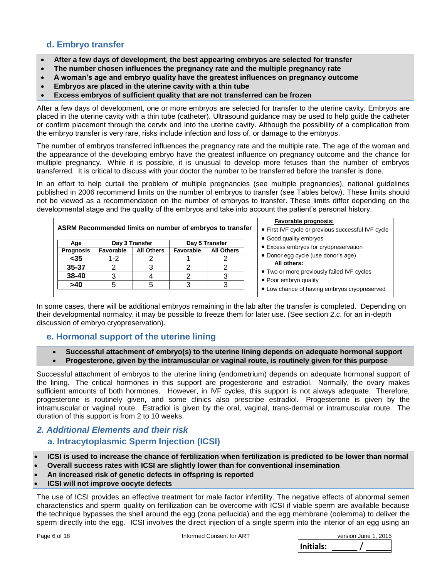## **d. Embryo transfer**

- **After a few days of development, the best appearing embryos are selected for transfer**
- **The number chosen influences the pregnancy rate and the multiple pregnancy rate**
- **A woman's age and embryo quality have the greatest influences on pregnancy outcome**
- **Embryos are placed in the uterine cavity with a thin tube**
- **Excess embryos of sufficient quality that are not transferred can be frozen**

After a few days of development, one or more embryos are selected for transfer to the uterine cavity. Embryos are placed in the uterine cavity with a thin tube (catheter). Ultrasound guidance may be used to help guide the catheter or confirm placement through the cervix and into the uterine cavity. Although the possibility of a complication from the embryo transfer is very rare, risks include infection and loss of, or damage to the embryos.

The number of embryos transferred influences the pregnancy rate and the multiple rate. The age of the woman and the appearance of the developing embryo have the greatest influence on pregnancy outcome and the chance for multiple pregnancy. While it is possible, it is unusual to develop more fetuses than the number of embryos transferred. It is critical to discuss with your doctor the number to be transferred before the transfer is done.

In an effort to help curtail the problem of multiple pregnancies (see multiple pregnancies), national guidelines published in 2006 recommend limits on the number of embryos to transfer (see Tables below). These limits should not be viewed as a recommendation on the number of embryos to transfer. These limits differ depending on the developmental stage and the quality of the embryos and take into account the patient's personal history.

| Favorable prognosis:<br>ASRM Recommended limits on number of embryos to transfer<br>• First IVF cycle or previous successful IVF cycle<br>• Good quality embryos |                |                   |                  |                   |                                                                       |
|------------------------------------------------------------------------------------------------------------------------------------------------------------------|----------------|-------------------|------------------|-------------------|-----------------------------------------------------------------------|
| Age                                                                                                                                                              | Day 3 Transfer |                   | Day 5 Transfer   |                   | • Excess embryos for cryopreservation                                 |
| <b>Prognosis</b>                                                                                                                                                 | Favorable      | <b>All Others</b> | <b>Favorable</b> | <b>All Others</b> |                                                                       |
| $35$                                                                                                                                                             | 1-2            |                   |                  |                   | • Donor egg cycle (use donor's age)                                   |
| $35 - 37$                                                                                                                                                        |                |                   |                  |                   | All others:                                                           |
| 38-40                                                                                                                                                            |                |                   |                  |                   | • Two or more previously failed IVF cycles                            |
| >40                                                                                                                                                              |                |                   |                  | 3                 | • Poor embryo quality<br>• Low chance of having embryos cryopreserved |
|                                                                                                                                                                  |                |                   |                  |                   |                                                                       |

In some cases, there will be additional embryos remaining in the lab after the transfer is completed. Depending on their developmental normalcy, it may be possible to freeze them for later use. (See section 2.c. for an in-depth discussion of embryo cryopreservation).

## **e. Hormonal support of the uterine lining**

- **Successful attachment of embryo(s) to the uterine lining depends on adequate hormonal support**
- **Progesterone, given by the intramuscular or vaginal route, is routinely given for this purpose**

Successful attachment of embryos to the uterine lining (endometrium) depends on adequate hormonal support of the lining. The critical hormones in this support are progesterone and estradiol. Normally, the ovary makes sufficient amounts of both hormones. However, in IVF cycles, this support is not always adequate. Therefore, progesterone is routinely given, and some clinics also prescribe estradiol. Progesterone is given by the intramuscular or vaginal route. Estradiol is given by the oral, vaginal, trans-dermal or intramuscular route. The duration of this support is from 2 to 10 weeks.

## *2. Additional Elements and their risk*

## **a. Intracytoplasmic Sperm Injection (ICSI)**

- **ICSI is used to increase the chance of fertilization when fertilization is predicted to be lower than normal**
- **Overall success rates with ICSI are slightly lower than for conventional insemination**
- **An increased risk of genetic defects in offspring is reported**
- **ICSI will not improve oocyte defects**

The use of ICSI provides an effective treatment for male factor infertility. The negative effects of abnormal semen characteristics and sperm quality on fertilization can be overcome with ICSI if viable sperm are available because the technique bypasses the shell around the egg (zona pellucida) and the egg membrane (oolemma) to deliver the sperm directly into the egg. ICSI involves the direct injection of a single sperm into the interior of an egg using an

| version June 1, 2015 |  |
|----------------------|--|
|                      |  |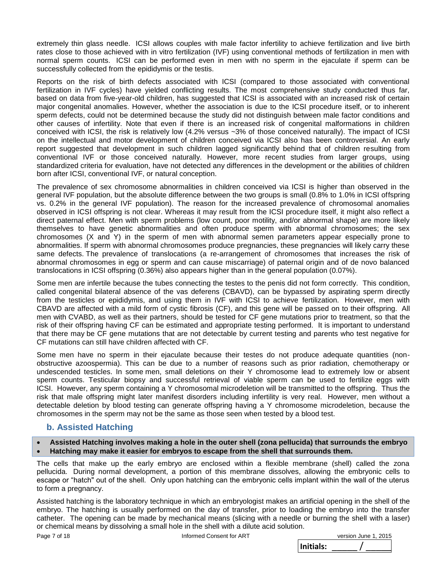extremely thin glass needle. ICSI allows couples with male factor infertility to achieve fertilization and live birth rates close to those achieved with in vitro fertilization (IVF) using conventional methods of fertilization in men with normal sperm counts. ICSI can be performed even in men with no sperm in the ejaculate if sperm can be successfully collected from the epididymis or the testis.

Reports on the risk of birth defects associated with ICSI (compared to those associated with conventional fertilization in IVF cycles) have yielded conflicting results. The most comprehensive study conducted thus far, based on data from five-year-old children, has suggested that ICSI is associated with an increased risk of certain major congenital anomalies. However, whether the association is due to the ICSI procedure itself, or to inherent sperm defects, could not be determined because the study did not distinguish between male factor conditions and other causes of infertility. Note that even if there is an increased risk of congenital malformations in children conceived with ICSI, the risk is relatively low (4.2% versus ~3% of those conceived naturally). The impact of ICSI on the intellectual and motor development of children conceived via ICSI also has been controversial. An early report suggested that development in such children lagged significantly behind that of children resulting from conventional IVF or those conceived naturally. However, more recent studies from larger groups, using standardized criteria for evaluation, have not detected any differences in the development or the abilities of children born after ICSI, conventional IVF, or natural conception.

The prevalence of sex chromosome abnormalities in children conceived via ICSI is higher than observed in the general IVF population, but the absolute difference between the two groups is small (0.8% to 1.0% in ICSI offspring vs. 0.2% in the general IVF population). The reason for the increased prevalence of chromosomal anomalies observed in ICSI offspring is not clear. Whereas it may result from the ICSI procedure itself, it might also reflect a direct paternal effect. Men with sperm problems (low count, poor motility, and/or abnormal shape) are more likely themselves to have genetic abnormalities and often produce sperm with abnormal chromosomes; the sex chromosomes (X and Y) in the sperm of men with abnormal semen parameters appear especially prone to abnormalities. If sperm with abnormal chromosomes produce pregnancies, these pregnancies will likely carry these same defects. The prevalence of translocations (a re-arrangement of chromosomes that increases the risk of abnormal chromosomes in egg or sperm and can cause miscarriage) of paternal origin and of de novo balanced translocations in ICSI offspring (0.36%) also appears higher than in the general population (0.07%).

Some men are infertile because the tubes connecting the testes to the penis did not form correctly. This condition, called congenital bilateral absence of the vas deferens (CBAVD), can be bypassed by aspirating sperm directly from the testicles or epididymis, and using them in IVF with ICSI to achieve fertilization. However, men with CBAVD are affected with a mild form of cystic fibrosis (CF), and this gene will be passed on to their offspring. All men with CVABD, as well as their partners, should be tested for CF gene mutations prior to treatment, so that the risk of their offspring having CF can be estimated and appropriate testing performed. It is important to understand that there may be CF gene mutations that are not detectable by current testing and parents who test negative for CF mutations can still have children affected with CF.

Some men have no sperm in their ejaculate because their testes do not produce adequate quantities (nonobstructive azoospermia). This can be due to a number of reasons such as prior radiation, chemotherapy or undescended testicles. In some men, small deletions on their Y chromosome lead to extremely low or absent sperm counts. Testicular biopsy and successful retrieval of viable sperm can be used to fertilize eggs with ICSI. However, any sperm containing a Y chromosomal microdeletion will be transmitted to the offspring. Thus the risk that male offspring might later manifest disorders including infertility is very real. However, men without a detectable deletion by blood testing can generate offspring having a Y chromosome microdeletion, because the chromosomes in the sperm may not be the same as those seen when tested by a blood test.

## **b. Assisted Hatching**

**Assisted Hatching involves making a hole in the outer shell (zona pellucida) that surrounds the embryo** 

**Hatching may make it easier for embryos to escape from the shell that surrounds them.**

The cells that make up the early embryo are enclosed within a flexible membrane (shell) called the zona pellucida. During normal development, a portion of this membrane dissolves, allowing the embryonic cells to escape or "hatch" out of the shell. Only upon hatching can the embryonic cells implant within the wall of the uterus to form a pregnancy.

Assisted hatching is the laboratory technique in which an embryologist makes an artificial opening in the shell of the embryo. The hatching is usually performed on the day of transfer, prior to loading the embryo into the transfer catheter. The opening can be made by mechanical means (slicing with a needle or burning the shell with a laser) or chemical means by dissolving a small hole in the shell with a dilute acid solution.

Page 7 of 18 Informed Consent for ART

|           | version June 1, 2015 |
|-----------|----------------------|
| Initials: |                      |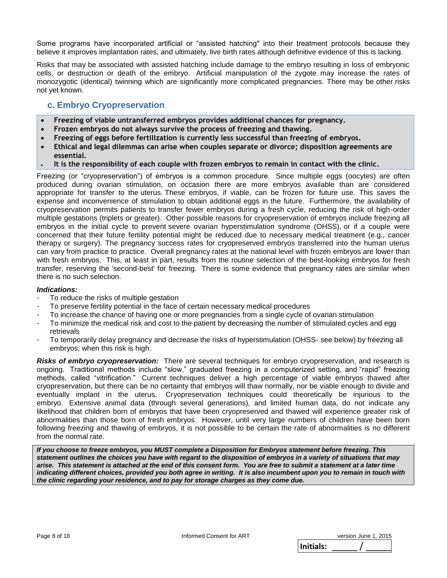Some programs have incorporated artificial or "assisted hatching" into their treatment protocols because they believe it improves implantation rates, and ultimately, live birth rates although definitive evidence of this is lacking.

Risks that may be associated with assisted hatching include damage to the embryo resulting in loss of embryonic cells, or destruction or death of the embryo. Artificial manipulation of the zygote may increase the rates of monozygotic (identical) twinning which are significantly more complicated pregnancies. There may be other risks not yet known.

## **c. Embryo Cryopreservation**

- **Freezing of viable untransferred embryos provides additional chances for pregnancy.**
- **Frozen embryos do not always survive the process of freezing and thawing.**
- **Freezing of eggs before fertilization is currently less successful than freezing of embryos.**
- **Ethical and legal dilemmas can arise when couples separate or divorce; disposition agreements are essential.**
- **It is the responsibility of each couple with frozen embryos to remain in contact with the clinic.**

Freezing (or "cryopreservation") of embryos is a common procedure. Since multiple eggs (oocytes) are often produced during ovarian stimulation, on occasion there are more embryos available than are considered appropriate for transfer to the uterus. These embryos, if viable, can be frozen for future use. This saves the expense and inconvenience of stimulation to obtain additional eggs in the future. Furthermore, the availability of cryopreservation permits patients to transfer fewer embryos during a fresh cycle, reducing the risk of high-order multiple gestations (triplets or greater). Other possible reasons for cryopreservation of embryos include freezing all embryos in the initial cycle to prevent severe ovarian hyperstimulation syndrome (OHSS), or if a couple were concerned that their future fertility potential might be reduced due to necessary medical treatment (e.g., cancer therapy or surgery). The pregnancy success rates for cryopreserved embryos transferred into the human uterus can vary from practice to practice. Overall pregnancy rates at the national level with frozen embryos are lower than with fresh embryos. This, at least in part, results from the routine selection of the best-looking embryos for fresh transfer, reserving the 'second-best' for freezing. There is some evidence that pregnancy rates are similar when there is no such selection.

#### *Indications:*

- To reduce the risks of multiple gestation
- To preserve fertility potential in the face of certain necessary medical procedures
- To increase the chance of having one or more pregnancies from a single cycle of ovarian stimulation
- To minimize the medical risk and cost to the patient by decreasing the number of stimulated cycles and egg retrievals
- To temporarily delay pregnancy and decrease the risks of hyperstimulation (OHSS- see below) by freezing all embryos, when this risk is high.

*Risks of embryo cryopreservation:* There are several techniques for embryo cryopreservation, and research is ongoing. Traditional methods include "slow," graduated freezing in a computerized setting, and "rapid" freezing methods, called "vitrification." Current techniques deliver a high percentage of viable embryos thawed after cryopreservation, but there can be no certainty that embryos will thaw normally, nor be viable enough to divide and eventually implant in the uterus. Cryopreservation techniques could theoretically be injurious to the embryo. Extensive animal data (through several generations), and limited human data, do not indicate any likelihood that children born of embryos that have been cryopreserved and thawed will experience greater risk of abnormalities than those born of fresh embryos. However, until very large numbers of children have been born following freezing and thawing of embryos, it is not possible to be certain the rate of abnormalities is no different from the normal rate.

*If you choose to freeze embryos, you MUST complete a Disposition for Embryos statement before freezing. This statement outlines the choices you have with regard to the disposition of embryos in a variety of situations that may arise. This statement is attached at the end of this consent form. You are free to submit a statement at a later time indicating different choices, provided you both agree in writing. It is also incumbent upon you to remain in touch with the clinic regarding your residence, and to pay for storage charges as they come due.*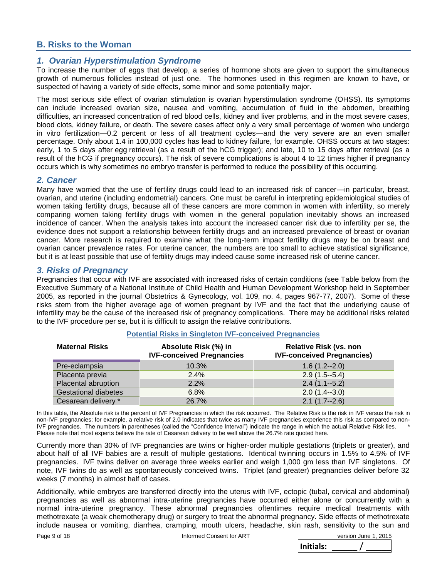### **B. Risks to the Woman**

#### *1. Ovarian Hyperstimulation Syndrome*

To increase the number of eggs that develop, a series of hormone shots are given to support the simultaneous growth of numerous follicles instead of just one. The hormones used in this regimen are known to have, or suspected of having a variety of side effects, some minor and some potentially major.

The most serious side effect of ovarian stimulation is ovarian hyperstimulation syndrome (OHSS). Its symptoms can include increased ovarian size, nausea and vomiting, accumulation of fluid in the abdomen, breathing difficulties, an increased concentration of red blood cells, kidney and liver problems, and in the most severe cases, blood clots, kidney failure, or death. The severe cases affect only a very small percentage of women who undergo in vitro fertilization—0.2 percent or less of all treatment cycles—and the very severe are an even smaller percentage. Only about 1.4 in 100,000 cycles has lead to kidney failure, for example. OHSS occurs at two stages: early, 1 to 5 days after egg retrieval (as a result of the hCG trigger); and late, 10 to 15 days after retrieval (as a result of the hCG if pregnancy occurs). The risk of severe complications is about 4 to 12 times higher if pregnancy occurs which is why sometimes no embryo transfer is performed to reduce the possibility of this occurring.

#### *2. Cancer*

Many have worried that the use of fertility drugs could lead to an increased risk of cancer—in particular, breast, ovarian, and uterine (including endometrial) cancers. One must be careful in interpreting epidemiological studies of women taking fertility drugs, because all of these cancers are more common in women with infertility, so merely comparing women taking fertility drugs with women in the general population inevitably shows an increased incidence of cancer. When the analysis takes into account the increased cancer risk due to infertility per se, the evidence does not support a relationship between fertility drugs and an increased prevalence of breast or ovarian cancer. More research is required to examine what the long-term impact fertility drugs may be on breast and ovarian cancer prevalence rates. For uterine cancer, the numbers are too small to achieve statistical significance, but it is at least possible that use of fertility drugs may indeed cause some increased risk of uterine cancer.

#### *3. Risks of Pregnancy*

Pregnancies that occur with IVF are associated with increased risks of certain conditions (see Table below from the Executive Summary of a National Institute of Child Health and Human Development Workshop held in September 2005, as reported in the journal Obstetrics & Gynecology, vol. 109, no. 4, pages 967-77, 2007). Some of these risks stem from the higher average age of women pregnant by IVF and the fact that the underlying cause of infertility may be the cause of the increased risk of pregnancy complications. There may be additional risks related to the IVF procedure per se, but it is difficult to assign the relative contributions.

| <b>Maternal Risks</b>       | Absolute Risk (%) in<br><b>IVF-conceived Pregnancies</b> | <b>Relative Risk (vs. non</b><br><b>IVF-conceived Pregnancies)</b> |
|-----------------------------|----------------------------------------------------------|--------------------------------------------------------------------|
| Pre-eclampsia               | 10.3%                                                    | $1.6(1.2 - 2.0)$                                                   |
| Placenta previa             | 2.4%                                                     | $2.9(1.5-5.4)$                                                     |
| Placental abruption         | $2.2\%$                                                  | $2.4(1.1-5.2)$                                                     |
| <b>Gestational diabetes</b> | 6.8%                                                     | $2.0(1.4-3.0)$                                                     |
| Cesarean delivery *         | 26.7%                                                    | $2.1(1.7 - 2.6)$                                                   |

#### **Potential Risks in Singleton IVF-conceived Pregnancies**

In this table, the Absolute risk is the percent of IVF Pregnancies in which the risk occurred. The Relative Risk is the risk in IVF versus the risk in non-IVF pregnancies; for example, a relative risk of 2.0 indicates that twice as many IVF pregnancies experience this risk as compared to non-IVF pregnancies. The numbers in parentheses (called the "Confidence Interval") indicate the range in which the actual Relative Risk lies. \* Please note that most experts believe the rate of Cesarean delivery to be well above the 26.7% rate quoted here.

Currently more than 30% of IVF pregnancies are twins or higher-order multiple gestations (triplets or greater), and about half of all IVF babies are a result of multiple gestations. Identical twinning occurs in 1.5% to 4.5% of IVF pregnancies. IVF twins deliver on average three weeks earlier and weigh 1,000 gm less than IVF singletons. Of note, IVF twins do as well as spontaneously conceived twins. Triplet (and greater) pregnancies deliver before 32 weeks (7 months) in almost half of cases.

Additionally, while embryos are transferred directly into the uterus with IVF, ectopic (tubal, cervical and abdominal) pregnancies as well as abnormal intra-uterine pregnancies have occurred either alone or concurrently with a normal intra-uterine pregnancy. These abnormal pregnancies oftentimes require medical treatments with methotrexate (a weak chemotherapy drug) or surgery to treat the abnormal pregnancy. Side effects of methotrexate include nausea or vomiting, diarrhea, cramping, mouth ulcers, headache, skin rash, sensitivity to the sun and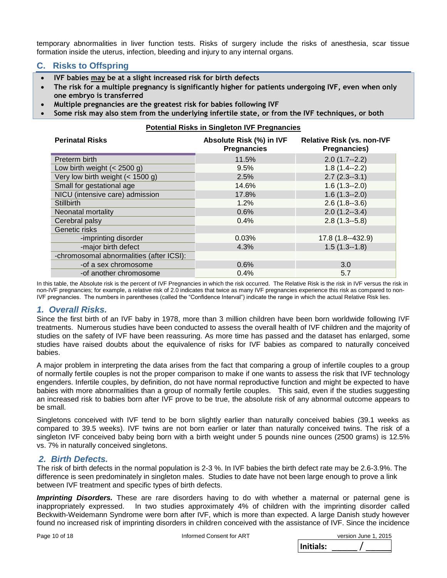temporary abnormalities in liver function tests. Risks of surgery include the risks of anesthesia, scar tissue formation inside the uterus, infection, bleeding and injury to any internal organs.

## **C. Risks to Offspring**

- **IVF babies may be at a slight increased risk for birth defects**
- **The risk for a multiple pregnancy is significantly higher for patients undergoing IVF, even when only one embryo is transferred**
- **Multiple pregnancies are the greatest risk for babies following IVF**
- **Some risk may also stem from the underlying infertile state, or from the IVF techniques, or both**

#### **Potential Risks in Singleton IVF Pregnancies**

| <b>Perinatal Risks</b>                   | Absolute Risk (%) in IVF<br><b>Pregnancies</b> | <b>Relative Risk (vs. non-IVF</b><br><b>Pregnancies)</b> |  |
|------------------------------------------|------------------------------------------------|----------------------------------------------------------|--|
| Preterm birth                            | 11.5%                                          | $2.0(1.7-2.2)$                                           |  |
| Low birth weight $(< 2500$ g)            | 9.5%                                           | $1.8(1.4-2.2)$                                           |  |
| Very low birth weight (< 1500 g)         | 2.5%                                           | $2.7(2.3-3.1)$                                           |  |
| Small for gestational age                | 14.6%                                          | $1.6(1.3-2.0)$                                           |  |
| NICU (intensive care) admission          | 17.8%                                          | $1.6(1.3-2.0)$                                           |  |
| <b>Stillbirth</b>                        | 1.2%                                           | $2.6(1.8-3.6)$                                           |  |
| Neonatal mortality                       | 0.6%                                           | $2.0(1.2-3.4)$                                           |  |
| Cerebral palsy                           | 0.4%                                           | $2.8(1.3-5.8)$                                           |  |
| Genetic risks                            |                                                |                                                          |  |
| -imprinting disorder                     | 0.03%                                          | 17.8 (1.8--432.9)                                        |  |
| -major birth defect                      | 4.3%                                           | $1.5(1.3-1.8)$                                           |  |
| -chromosomal abnormalities (after ICSI): |                                                |                                                          |  |
| -of a sex chromosome                     | 0.6%                                           | 3.0                                                      |  |
| -of another chromosome                   | 0.4%                                           | 5.7                                                      |  |

In this table, the Absolute risk is the percent of IVF Pregnancies in which the risk occurred. The Relative Risk is the risk in IVF versus the risk in non-IVF pregnancies; for example, a relative risk of 2.0 indicates that twice as many IVF pregnancies experience this risk as compared to non-IVF pregnancies. The numbers in parentheses (called the "Confidence Interval") indicate the range in which the actual Relative Risk lies.

#### *1. Overall Risks.*

Since the first birth of an IVF baby in 1978, more than 3 million children have been born worldwide following IVF treatments. Numerous studies have been conducted to assess the overall health of IVF children and the majority of studies on the safety of IVF have been reassuring. As more time has passed and the dataset has enlarged, some studies have raised doubts about the equivalence of risks for IVF babies as compared to naturally conceived babies.

A major problem in interpreting the data arises from the fact that comparing a group of infertile couples to a group of normally fertile couples is not the proper comparison to make if one wants to assess the risk that IVF technology engenders. Infertile couples, by definition, do not have normal reproductive function and might be expected to have babies with more abnormalities than a group of normally fertile couples. This said, even if the studies suggesting an increased risk to babies born after IVF prove to be true, the absolute risk of any abnormal outcome appears to be small.

Singletons conceived with IVF tend to be born slightly earlier than naturally conceived babies (39.1 weeks as compared to 39.5 weeks). IVF twins are not born earlier or later than naturally conceived twins. The risk of a singleton IVF conceived baby being born with a birth weight under 5 pounds nine ounces (2500 grams) is 12.5% vs. 7% in naturally conceived singletons.

#### *2. Birth Defects.*

The risk of birth defects in the normal population is 2-3 %. In IVF babies the birth defect rate may be 2.6-3.9%. The difference is seen predominately in singleton males. Studies to date have not been large enough to prove a link between IVF treatment and specific types of birth defects.

*Imprinting Disorders.* These are rare disorders having to do with whether a maternal or paternal gene is inappropriately expressed. In two studies approximately 4% of children with the imprinting disorder called Beckwith-Weidemann Syndrome were born after IVF, which is more than expected. A large Danish study however found no increased risk of imprinting disorders in children conceived with the assistance of IVF. Since the incidence

Page 10 of 18 Informed Consent for ART version June 1, 2015  **Initials:** \_\_\_\_\_ / \_\_\_\_\_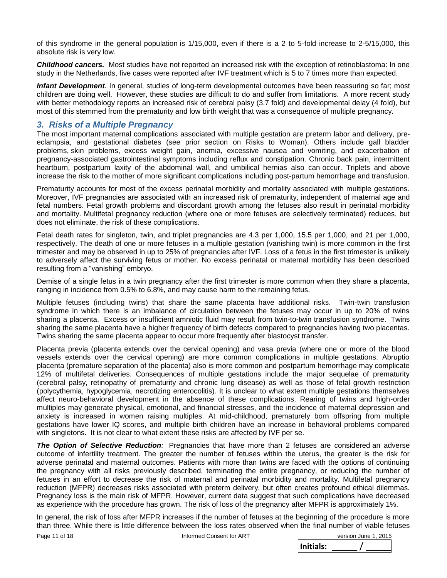of this syndrome in the general population is 1/15,000, even if there is a 2 to 5-fold increase to 2-5/15,000, this absolute risk is very low.

*Childhood cancers.* Most studies have not reported an increased risk with the exception of retinoblastoma: In one study in the Netherlands, five cases were reported after IVF treatment which is 5 to 7 times more than expected.

*Infant Development.* In general, studies of long-term developmental outcomes have been reassuring so far; most children are doing well. However, these studies are difficult to do and suffer from limitations. A more recent study with better methodology reports an increased risk of cerebral palsy (3.7 fold) and developmental delay (4 fold), but most of this stemmed from the prematurity and low birth weight that was a consequence of multiple pregnancy.

### *3. Risks of a Multiple Pregnancy*

The most important maternal complications associated with multiple gestation are preterm labor and delivery, preeclampsia, and gestational diabetes (see prior section on Risks to Woman). Others include gall bladder problems, skin problems, excess weight gain, anemia, excessive nausea and vomiting, and exacerbation of pregnancy-associated gastrointestinal symptoms including reflux and constipation. Chronic back pain, intermittent heartburn, postpartum laxity of the abdominal wall, and umbilical hernias also can occur. Triplets and above increase the risk to the mother of more significant complications including post-partum hemorrhage and transfusion.

Prematurity accounts for most of the excess perinatal morbidity and mortality associated with multiple gestations. Moreover, IVF pregnancies are associated with an increased risk of prematurity, independent of maternal age and fetal numbers. Fetal growth problems and discordant growth among the fetuses also result in perinatal morbidity and mortality. Multifetal pregnancy reduction (where one or more fetuses are selectively terminated) reduces, but does not eliminate, the risk of these complications.

Fetal death rates for singleton, twin, and triplet pregnancies are 4.3 per 1,000, 15.5 per 1,000, and 21 per 1,000, respectively. The death of one or more fetuses in a multiple gestation (vanishing twin) is more common in the first trimester and may be observed in up to 25% of pregnancies after IVF. Loss of a fetus in the first trimester is unlikely to adversely affect the surviving fetus or mother. No excess perinatal or maternal morbidity has been described resulting from a "vanishing" embryo.

Demise of a single fetus in a twin pregnancy after the first trimester is more common when they share a placenta, ranging in incidence from 0.5% to 6.8%, and may cause harm to the remaining fetus.

Multiple fetuses (including twins) that share the same placenta have additional risks. Twin-twin transfusion syndrome in which there is an imbalance of circulation between the fetuses may occur in up to 20% of twins sharing a placenta. Excess or insufficient amniotic fluid may result from twin-to-twin transfusion syndrome. Twins sharing the same placenta have a higher frequency of birth defects compared to pregnancies having two placentas. Twins sharing the same placenta appear to occur more frequently after blastocyst transfer.

Placenta previa (placenta extends over the cervical opening) and vasa previa (where one or more of the blood vessels extends over the cervical opening) are more common complications in multiple gestations. Abruptio placenta (premature separation of the placenta) also is more common and postpartum hemorrhage may complicate 12% of multifetal deliveries. Consequences of multiple gestations include the major sequelae of prematurity (cerebral palsy, retinopathy of prematurity and chronic lung disease) as well as those of fetal growth restriction (polycythemia, hypoglycemia, necrotizing enterocolitis). It is unclear to what extent multiple gestations themselves affect neuro-behavioral development in the absence of these complications. Rearing of twins and high-order multiples may generate physical, emotional, and financial stresses, and the incidence of maternal depression and anxiety is increased in women raising multiples. At mid-childhood, prematurely born offspring from multiple gestations have lower IQ scores, and multiple birth children have an increase in behavioral problems compared with singletons. It is not clear to what extent these risks are affected by IVF per se.

*The Option of Selective Reduction:* Pregnancies that have more than 2 fetuses are considered an adverse outcome of infertility treatment. The greater the number of fetuses within the uterus, the greater is the risk for adverse perinatal and maternal outcomes. Patients with more than twins are faced with the options of continuing the pregnancy with all risks previously described, terminating the entire pregnancy, or reducing the number of fetuses in an effort to decrease the risk of maternal and perinatal morbidity and mortality. Multifetal pregnancy reduction (MFPR) decreases risks associated with preterm delivery, but often creates profound ethical dilemmas. Pregnancy loss is the main risk of MFPR. However, current data suggest that such complications have decreased as experience with the procedure has grown. The risk of loss of the pregnancy after MFPR is approximately 1%.

In general, the risk of loss after MFPR increases if the number of fetuses at the beginning of the procedure is more than three. While there is little difference between the loss rates observed when the final number of viable fetuses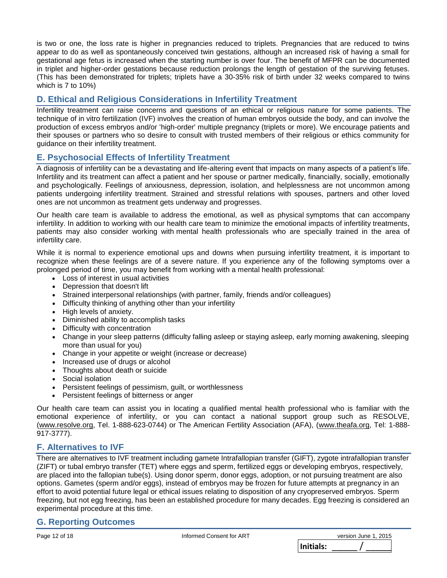is two or one, the loss rate is higher in pregnancies reduced to triplets. Pregnancies that are reduced to twins appear to do as well as spontaneously conceived twin gestations, although an increased risk of having a small for gestational age fetus is increased when the starting number is over four. The benefit of MFPR can be documented in triplet and higher-order gestations because reduction prolongs the length of gestation of the surviving fetuses. (This has been demonstrated for triplets; triplets have a 30-35% risk of birth under 32 weeks compared to twins which is 7 to 10%)

## **D. Ethical and Religious Considerations in Infertility Treatment**

Infertility treatment can raise concerns and questions of an ethical or religious nature for some patients. The technique of in vitro fertilization (IVF) involves the creation of human embryos outside the body, and can involve the production of excess embryos and/or 'high-order' multiple pregnancy (triplets or more). We encourage patients and their spouses or partners who so desire to consult with trusted members of their religious or ethics community for guidance on their infertility treatment.

## **E. Psychosocial Effects of Infertility Treatment**

A diagnosis of infertility can be a devastating and life-altering event that impacts on many aspects of a patient's life. Infertility and its treatment can affect a patient and her spouse or partner medically, financially, socially, emotionally and psychologically. Feelings of anxiousness, depression, isolation, and helplessness are not uncommon among patients undergoing infertility treatment. Strained and stressful relations with spouses, partners and other loved ones are not uncommon as treatment gets underway and progresses.

Our health care team is available to address the emotional, as well as physical symptoms that can accompany infertility. In addition to working with our health care team to minimize the emotional impacts of infertility treatments, patients may also consider working with mental health professionals who are specially trained in the area of infertility care.

While it is normal to experience emotional ups and downs when pursuing infertility treatment, it is important to recognize when these feelings are of a severe nature. If you experience any of the following symptoms over a prolonged period of time, you may benefit from working with a mental health professional:

- Loss of interest in usual activities
- Depression that doesn't lift
- Strained interpersonal relationships (with partner, family, friends and/or colleagues)
- Difficulty thinking of anything other than your infertility
- High levels of anxiety.
- Diminished ability to accomplish tasks
- Difficulty with concentration
- Change in your sleep patterns (difficulty falling asleep or staying asleep, early morning awakening, sleeping more than usual for you)
- Change in your appetite or weight (increase or decrease)
- Increased use of drugs or alcohol
- Thoughts about death or suicide
- Social isolation
- Persistent feelings of pessimism, guilt, or worthlessness
- Persistent feelings of bitterness or anger

Our health care team can assist you in locating a qualified mental health professional who is familiar with the emotional experience of infertility, or you can contact a national support group such as RESOLVE, [\(www.resolve.org,](http://www.resolve.org/) Tel. 1-888-623-0744) or The American Fertility Association (AFA), [\(www.theafa.org,](http://www.theafa.org/) Tel: 1-888- 917-3777).

## **F. Alternatives to IVF**

There are alternatives to IVF treatment including gamete Intrafallopian transfer (GIFT), zygote intrafallopian transfer (ZIFT) or tubal embryo transfer (TET) where eggs and sperm, fertilized eggs or developing embryos, respectively, are placed into the fallopian tube(s). Using donor sperm, donor eggs, adoption, or not pursuing treatment are also options. Gametes (sperm and/or eggs), instead of embryos may be frozen for future attempts at pregnancy in an effort to avoid potential future legal or ethical issues relating to disposition of any cryopreserved embryos. Sperm freezing, but not egg freezing, has been an established procedure for many decades. Egg freezing is considered an experimental procedure at this time.

## **G. Reporting Outcomes**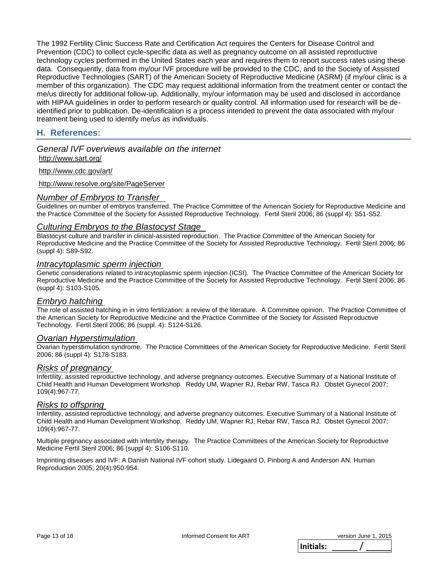The 1992 Fertility Clinic Success Rate and Certification Act requires the Centers for Disease Control and Prevention (CDC) to collect cycle-specific data as well as pregnancy outcome on all assisted reproductive technology cycles performed in the United States each year and requires them to report success rates using these data. Consequently, data from my/our IVF procedure will be provided to the CDC, and to the Society of Assisted Reproductive Technologies (SART) of the American Society of Reproductive Medicine (ASRM) (if my/our clinic is a member of this organization). The CDC may request additional information from the treatment center or contact the me/us directly for additional follow-up. Additionally, my/our information may be used and disclosed in accordance with HIPAA guidelines in order to perform research or quality control. All information used for research will be deidentified prior to publication. De-identification is a process intended to prevent the data associated with my/our treatment being used to identify me/us as individuals.

## **H. References:**

*General IVF overviews available on the internet* <http://www.sart.org/>

<http://www.cdc.gov/art/>

<http://www.resolve.org/site/PageServer>

#### *Number of Embryos to Transfer*

Guidelines on number of embryos transferred. The Practice Committee of the American Society for Reproductive Medicine and the Practice Committee of the Society for Assisted Reproductive Technology. Fertil Steril 2006; 86 (suppl 4): S51-S52.

#### *Culturing Embryos to the Blastocyst Stage*

Blastocyst culture and transfer in clinical-assisted reproduction. The Practice Committee of the American Society for Reproductive Medicine and the Practice Committee of the Society for Assisted Reproductive Technology. Fertil Steril 2006; 86 (suppl 4): S89-S92.

#### *Intracytoplasmic sperm injection*

Genetic considerations related to intracytoplasmic sperm injection (ICSI). The Practice Committee of the American Society for Reproductive Medicine and the Practice Committee of the Society for Assisted Reproductive Technology. Fertil Steril 2006; 86 (suppl 4): S103-S105.

#### *Embryo hatching*

The role of assisted hatching in in vitro fertilization: a review of the literature. A Committee opinion. The Practice Committee of the American Society for Reproductive Medicine and the Practice Committee of the Society for Assisted Reproductive Technology. Fertil Steril 2006; 86 (suppl. 4): S124-S126.

#### *Ovarian Hyperstimulation*

Ovarian hyperstimulation syndrome. The Practice Committees of the American Society for Reproductive Medicine. Fertil Steril 2006; 86 (suppl 4): S178-S183.

#### *Risks of pregnancy*

Infertility, assisted reproductive technology, and adverse pregnancy outcomes. Executive Summary of a National Institute of Child Health and Human Development Workshop. Reddy UM, Wapner RJ, Rebar RW, Tasca RJ. Obstet Gynecol 2007; 109(4):967-77.

#### *Risks to offspring*

Infertility, assisted reproductive technology, and adverse pregnancy outcomes. Executive Summary of a National Institute of Child Health and Human Development Workshop. Reddy UM, Wapner RJ, Rebar RW, Tasca RJ. Obstet Gynecol 2007; 109(4):967-77.

Multiple pregnancy associated with infertility therapy. The Practice Committees of the American Society for Reproductive Medicine Fertil Steril 2006; 86 (suppl 4): S106-S110.

Imprinting diseases and IVF: A Danish National IVF cohort study. Lidegaard O, Pinborg A and Anderson AN. Human Reproduction 2005; 20(4):950-954.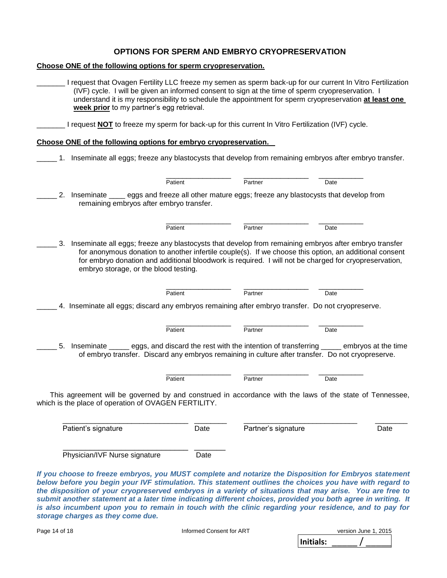#### **OPTIONS FOR SPERM AND EMBRYO CRYOPRESERVATION**

**Choose ONE of the following options for sperm cryopreservation.**

| I request that Ovagen Fertility LLC freeze my semen as sperm back-up for our current In Vitro Fertilization<br>(IVF) cycle. I will be given an informed consent to sign at the time of sperm cryopreservation. I<br>understand it is my responsibility to schedule the appointment for sperm cryopreservation at least one<br>week prior to my partner's egg retrieval.                                                                                                              |      |                     |      |      |
|--------------------------------------------------------------------------------------------------------------------------------------------------------------------------------------------------------------------------------------------------------------------------------------------------------------------------------------------------------------------------------------------------------------------------------------------------------------------------------------|------|---------------------|------|------|
| I request <b>NOT</b> to freeze my sperm for back-up for this current In Vitro Fertilization (IVF) cycle.                                                                                                                                                                                                                                                                                                                                                                             |      |                     |      |      |
| Choose ONE of the following options for embryo cryopreservation.                                                                                                                                                                                                                                                                                                                                                                                                                     |      |                     |      |      |
| 1. Inseminate all eggs; freeze any blastocysts that develop from remaining embryos after embryo transfer.                                                                                                                                                                                                                                                                                                                                                                            |      |                     |      |      |
| Patient                                                                                                                                                                                                                                                                                                                                                                                                                                                                              |      | Partner             | Date |      |
| 2. Inseminate ____ eggs and freeze all other mature eggs; freeze any blastocysts that develop from<br>remaining embryos after embryo transfer.                                                                                                                                                                                                                                                                                                                                       |      |                     |      |      |
| Patient                                                                                                                                                                                                                                                                                                                                                                                                                                                                              |      | Partner             | Date |      |
| 3. Inseminate all eggs; freeze any blastocysts that develop from remaining embryos after embryo transfer<br>for anonymous donation to another infertile couple(s). If we choose this option, an additional consent<br>for embryo donation and additional bloodwork is required. I will not be charged for cryopreservation,<br>embryo storage, or the blood testing.<br>Patient<br>4. Inseminate all eggs; discard any embryos remaining after embryo transfer. Do not cryopreserve. |      | Partner             | Date |      |
| Patient                                                                                                                                                                                                                                                                                                                                                                                                                                                                              |      | Partner             | Date |      |
| Inseminate _______ eggs, and discard the rest with the intention of transferring ______ embryos at the time<br>5.<br>of embryo transfer. Discard any embryos remaining in culture after transfer. Do not cryopreserve.                                                                                                                                                                                                                                                               |      |                     |      |      |
| Patient<br>This agreement will be governed by and construed in accordance with the laws of the state of Tennessee,<br>which is the place of operation of OVAGEN FERTILITY.                                                                                                                                                                                                                                                                                                           |      | Partner             | Date |      |
| Patient's signature                                                                                                                                                                                                                                                                                                                                                                                                                                                                  | Date | Partner's signature |      | Date |
| Physician/IVF Nurse signature                                                                                                                                                                                                                                                                                                                                                                                                                                                        | Date |                     |      |      |
| If you choose to freeze embryos, you MUST complete and notarize the Disposition for Embryos statement<br>below before you begin your IVF stimulation. This statement outlines the choices you have with regard to                                                                                                                                                                                                                                                                    |      |                     |      |      |

*below before you begin your IVF stimulation. This statement outlines the choices you have with regard to the disposition of your cryopreserved embryos in a variety of situations that may arise. You are free to submit another statement at a later time indicating different choices, provided you both agree in writing. It is also incumbent upon you to remain in touch with the clinic regarding your residence, and to pay for storage charges as they come due.*

| Page 14 of 18 | Informed Consent for ART |           | version June 1, 2015 |
|---------------|--------------------------|-----------|----------------------|
|               |                          | Initials: |                      |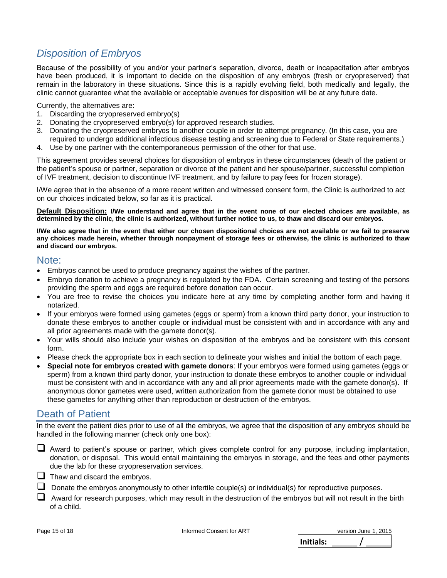## *Disposition of Embryos*

Because of the possibility of you and/or your partner's separation, divorce, death or incapacitation after embryos have been produced, it is important to decide on the disposition of any embryos (fresh or cryopreserved) that remain in the laboratory in these situations. Since this is a rapidly evolving field, both medically and legally, the clinic cannot guarantee what the available or acceptable avenues for disposition will be at any future date.

Currently, the alternatives are:

- 1. Discarding the cryopreserved embryo(s)
- 2. Donating the cryopreserved embryo(s) for approved research studies.
- 3. Donating the cryopreserved embryos to another couple in order to attempt pregnancy. (In this case, you are required to undergo additional infectious disease testing and screening due to Federal or State requirements.)
- 4. Use by one partner with the contemporaneous permission of the other for that use.

This agreement provides several choices for disposition of embryos in these circumstances (death of the patient or the patient's spouse or partner, separation or divorce of the patient and her spouse/partner, successful completion of IVF treatment, decision to discontinue IVF treatment, and by failure to pay fees for frozen storage).

I/We agree that in the absence of a more recent written and witnessed consent form, the Clinic is authorized to act on our choices indicated below, so far as it is practical.

**Default Disposition: I/We understand and agree that in the event none of our elected choices are available, as determined by the clinic, the clinic is authorized, without further notice to us, to thaw and discard our embryos.**

**I/We also agree that in the event that either our chosen dispositional choices are not available or we fail to preserve any choices made herein, whether through nonpayment of storage fees or otherwise, the clinic is authorized to thaw and discard our embryos.**

### Note:

- Embryos cannot be used to produce pregnancy against the wishes of the partner.
- Embryo donation to achieve a pregnancy is regulated by the FDA. Certain screening and testing of the persons providing the sperm and eggs are required before donation can occur.
- You are free to revise the choices you indicate here at any time by completing another form and having it notarized.
- If your embryos were formed using gametes (eggs or sperm) from a known third party donor, your instruction to donate these embryos to another couple or individual must be consistent with and in accordance with any and all prior agreements made with the gamete donor(s).
- Your wills should also include your wishes on disposition of the embryos and be consistent with this consent form.
- Please check the appropriate box in each section to delineate your wishes and initial the bottom of each page.
- **Special note for embryos created with gamete donors**: If your embryos were formed using gametes (eggs or sperm) from a known third party donor, your instruction to donate these embryos to another couple or individual must be consistent with and in accordance with any and all prior agreements made with the gamete donor(s). If anonymous donor gametes were used, written authorization from the gamete donor must be obtained to use these gametes for anything other than reproduction or destruction of the embryos.

## Death of Patient

In the event the patient dies prior to use of all the embryos, we agree that the disposition of any embryos should be handled in the following manner (check only one box):

- Award to patient's spouse or partner, which gives complete control for any purpose, including implantation, donation, or disposal. This would entail maintaining the embryos in storage, and the fees and other payments due the lab for these cryopreservation services.
- $\Box$  Thaw and discard the embryos.
- $\Box$  Donate the embryos anonymously to other infertile couple(s) or individual(s) for reproductive purposes.
- $\Box$  Award for research purposes, which may result in the destruction of the embryos but will not result in the birth of a child.

| Initials: | version June 1, 2015 |
|-----------|----------------------|
|           |                      |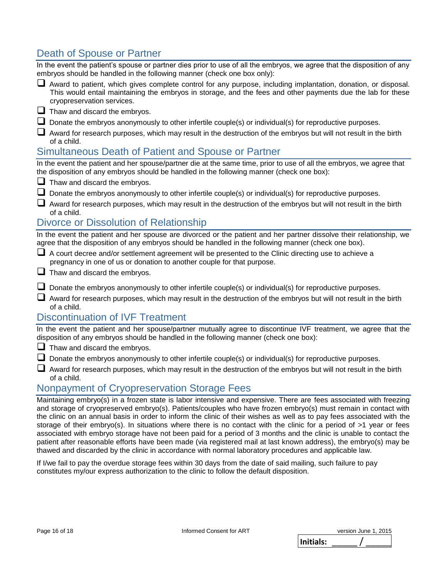## Death of Spouse or Partner

| Death of Spouse or Partner                                                                                                                                                                                                                                  |
|-------------------------------------------------------------------------------------------------------------------------------------------------------------------------------------------------------------------------------------------------------------|
| In the event the patient's spouse or partner dies prior to use of all the embryos, we agree that the disposition of any<br>embryos should be handled in the following manner (check one box only):                                                          |
| Award to patient, which gives complete control for any purpose, including implantation, donation, or disposal.<br>This would entail maintaining the embryos in storage, and the fees and other payments due the lab for these<br>cryopreservation services. |
| $\Box$ Thaw and discard the embryos.                                                                                                                                                                                                                        |
| $\Box$ Donate the embryos anonymously to other infertile couple(s) or individual(s) for reproductive purposes.                                                                                                                                              |
| Award for research purposes, which may result in the destruction of the embryos but will not result in the birth<br>of a child.                                                                                                                             |
| Simultaneous Death of Patient and Spouse or Partner                                                                                                                                                                                                         |
| In the event the patient and her spouse/partner die at the same time, prior to use of all the embryos, we agree that<br>the disposition of any embryos should be handled in the following manner (check one box):                                           |
| $\Box$ Thaw and discard the embryos.                                                                                                                                                                                                                        |
| Donate the embryos anonymously to other infertile couple(s) or individual(s) for reproductive purposes.                                                                                                                                                     |
| Award for research purposes, which may result in the destruction of the embryos but will not result in the birth<br>of a child.                                                                                                                             |
| <b>Divorce or Dissolution of Relationship</b>                                                                                                                                                                                                               |
| In the event the patient and her spouse are divorced or the patient and her partner dissolve their relationship, we<br>agree that the disposition of any embryos should be handled in the following manner (check one box).                                 |
| A court decree and/or settlement agreement will be presented to the Clinic directing use to achieve a<br>pregnancy in one of us or donation to another couple for that purpose.                                                                             |
| $\Box$ Thaw and discard the embryos.                                                                                                                                                                                                                        |
| $\Box$ Donate the embryos anonymously to other infertile couple(s) or individual(s) for reproductive purposes.                                                                                                                                              |
| Award for research purposes, which may result in the destruction of the embryos but will not result in the birth<br>of a child.                                                                                                                             |
| <b>Discontinuation of IVF Treatment</b>                                                                                                                                                                                                                     |
| In the event the patient and her spouse/partner mutually agree to discontinue IVF treatment, we agree that the<br>disposition of any embryos should be handled in the following manner (check one box):                                                     |
| $\Box$ Thaw and discard the embryos.                                                                                                                                                                                                                        |
| Donate the embryos anonymously to other infertile couple(s) or individual(s) for reproductive purposes.                                                                                                                                                     |
| Award for research purposes, which may result in the destruction of the embryos but will not result in the birth<br>of a child.                                                                                                                             |
| Nonpayment of Cryopreservation Storage Fees                                                                                                                                                                                                                 |
| Maintaining embryo(s) in a frozen state is labor intensive and expensive. There are fees associated with freezing<br>and storage of cryopreserved embryo(s). Patients/couples who have frozen embryo(s) must remain in contact with                         |

the clinic on an annual basis in order to inform the clinic of their wishes as well as to pay fees associated with the storage of their embryo(s). In situations where there is no contact with the clinic for a period of >1 year or fees associated with embryo storage have not been paid for a period of 3 months and the clinic is unable to contact the patient after reasonable efforts have been made (via registered mail at last known address), the embryo(s) may be thawed and discarded by the clinic in accordance with normal laboratory procedures and applicable law.

If I/we fail to pay the overdue storage fees within 30 days from the date of said mailing, such failure to pay constitutes my/our express authorization to the clinic to follow the default disposition.

Page 16 of 18 Informed Consent for ART

|           | version June 1, 2015 |
|-----------|----------------------|
| Initials: |                      |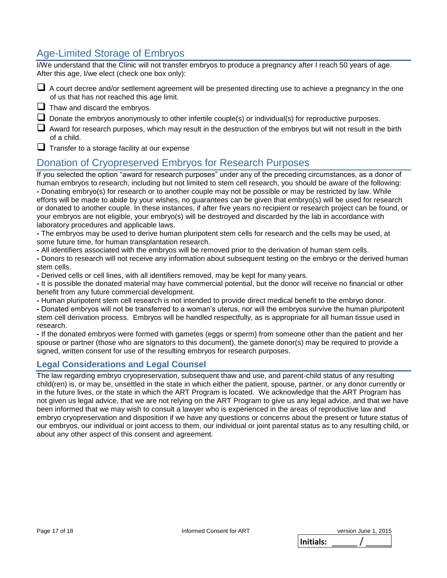## Age-Limited Storage of Embryos

I/We understand that the Clinic will not transfer embryos to produce a pregnancy after I reach 50 years of age. After this age, I/we elect (check one box only):

- A court decree and/or settlement agreement will be presented directing use to achieve a pregnancy in the one of us that has not reached this age limit.
- $\Box$  Thaw and discard the embryos.
- $\Box$  Donate the embryos anonymously to other infertile couple(s) or individual(s) for reproductive purposes.
- Award for research purposes, which may result in the destruction of the embryos but will not result in the birth of a child.

 $\Box$  Transfer to a storage facility at our expense

## Donation of Cryopreserved Embryos for Research Purposes

If you selected the option "award for research purposes" under any of the preceding circumstances, as a donor of human embryos to research, including but not limited to stem cell research, you should be aware of the following: **-** Donating embryo(s) for research or to another couple may not be possible or may be restricted by law. While efforts will be made to abide by your wishes, no guarantees can be given that embryo(s) will be used for research or donated to another couple. In these instances, if after five years no recipient or research project can be found, or your embryos are not eligible, your embryo(s) will be destroyed and discarded by the lab in accordance with laboratory procedures and applicable laws.

**-** The embryos may be used to derive human pluripotent stem cells for research and the cells may be used, at some future time, for human transplantation research.

**-** All identifiers associated with the embryos will be removed prior to the derivation of human stem cells.

**-** Donors to research will not receive any information about subsequent testing on the embryo or the derived human stem cells.

**-** Derived cells or cell lines, with all identifiers removed, may be kept for many years.

**-** It is possible the donated material may have commercial potential, but the donor will receive no financial or other benefit from any future commercial development.

**-** Human pluripotent stem cell research is not intended to provide direct medical benefit to the embryo donor.

**-** Donated embryos will not be transferred to a woman's uterus, nor will the embryos survive the human pluripotent stem cell derivation process. Embryos will be handled respectfully, as is appropriate for all human tissue used in research.

**-** If the donated embryos were formed with gametes (eggs or sperm) from someone other than the patient and her spouse or partner (those who are signators to this document), the gamete donor(s) may be required to provide a signed, written consent for use of the resulting embryos for research purposes.

#### **Legal Considerations and Legal Counsel**

The law regarding embryo cryopreservation, subsequent thaw and use, and parent-child status of any resulting child(ren) is, or may be, unsettled in the state in which either the patient, spouse, partner, or any donor currently or in the future lives, or the state in which the ART Program is located. We acknowledge that the ART Program has not given us legal advice, that we are not relying on the ART Program to give us any legal advice, and that we have been informed that we may wish to consult a lawyer who is experienced in the areas of reproductive law and embryo cryopreservation and disposition if we have any questions or concerns about the present or future status of our embryos, our individual or joint access to them, our individual or joint parental status as to any resulting child, or about any other aspect of this consent and agreement.

|           | version June 1, 2015 |
|-----------|----------------------|
| Initials: |                      |